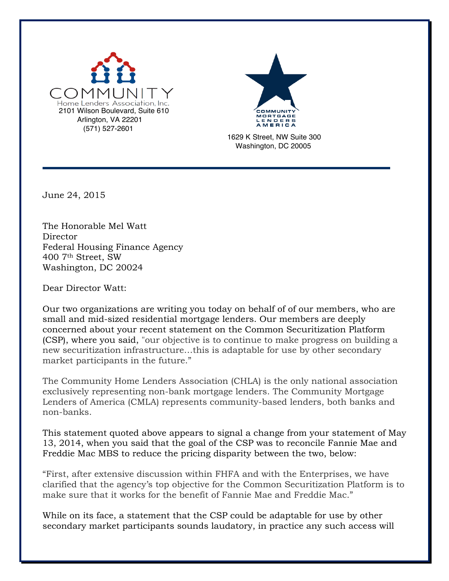



1629 K Street, NW Suite 300 Washington, DC 20005

June 24, 2015

The Honorable Mel Watt **Director** Federal Housing Finance Agency 400 7th Street, SW Washington, DC 20024

Dear Director Watt:

Our two organizations are writing you today on behalf of of our members, who are small and mid-sized residential mortgage lenders. Our members are deeply concerned about your recent statement on the Common Securitization Platform (CSP), where you said, "our objective is to continue to make progress on building a new securitization infrastructure…this is adaptable for use by other secondary market participants in the future."

The Community Home Lenders Association (CHLA) is the only national association exclusively representing non-bank mortgage lenders. The Community Mortgage Lenders of America (CMLA) represents community-based lenders, both banks and non-banks.

This statement quoted above appears to signal a change from your statement of May 13, 2014, when you said that the goal of the CSP was to reconcile Fannie Mae and Freddie Mac MBS to reduce the pricing disparity between the two, below:

"First, after extensive discussion within FHFA and with the Enterprises, we have clarified that the agency's top objective for the Common Securitization Platform is to make sure that it works for the benefit of Fannie Mae and Freddie Mac."

While on its face, a statement that the CSP could be adaptable for use by other secondary market participants sounds laudatory, in practice any such access will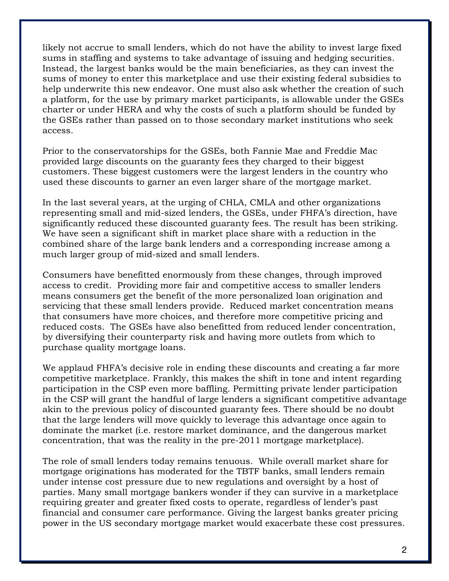likely not accrue to small lenders, which do not have the ability to invest large fixed sums in staffing and systems to take advantage of issuing and hedging securities. Instead, the largest banks would be the main beneficiaries, as they can invest the sums of money to enter this marketplace and use their existing federal subsidies to help underwrite this new endeavor. One must also ask whether the creation of such a platform, for the use by primary market participants, is allowable under the GSEs charter or under HERA and why the costs of such a platform should be funded by the GSEs rather than passed on to those secondary market institutions who seek access.

Prior to the conservatorships for the GSEs, both Fannie Mae and Freddie Mac provided large discounts on the guaranty fees they charged to their biggest customers. These biggest customers were the largest lenders in the country who used these discounts to garner an even larger share of the mortgage market.

In the last several years, at the urging of CHLA, CMLA and other organizations representing small and mid-sized lenders, the GSEs, under FHFA's direction, have significantly reduced these discounted guaranty fees. The result has been striking. We have seen a significant shift in market place share with a reduction in the combined share of the large bank lenders and a corresponding increase among a much larger group of mid-sized and small lenders.

Consumers have benefitted enormously from these changes, through improved access to credit. Providing more fair and competitive access to smaller lenders means consumers get the benefit of the more personalized loan origination and servicing that these small lenders provide. Reduced market concentration means that consumers have more choices, and therefore more competitive pricing and reduced costs. The GSEs have also benefitted from reduced lender concentration, by diversifying their counterparty risk and having more outlets from which to purchase quality mortgage loans.

We applaud FHFA's decisive role in ending these discounts and creating a far more competitive marketplace. Frankly, this makes the shift in tone and intent regarding participation in the CSP even more baffling. Permitting private lender participation in the CSP will grant the handful of large lenders a significant competitive advantage akin to the previous policy of discounted guaranty fees. There should be no doubt that the large lenders will move quickly to leverage this advantage once again to dominate the market (i.e. restore market dominance, and the dangerous market concentration, that was the reality in the pre-2011 mortgage marketplace).

The role of small lenders today remains tenuous. While overall market share for mortgage originations has moderated for the TBTF banks, small lenders remain under intense cost pressure due to new regulations and oversight by a host of parties. Many small mortgage bankers wonder if they can survive in a marketplace requiring greater and greater fixed costs to operate, regardless of lender's past financial and consumer care performance. Giving the largest banks greater pricing power in the US secondary mortgage market would exacerbate these cost pressures.